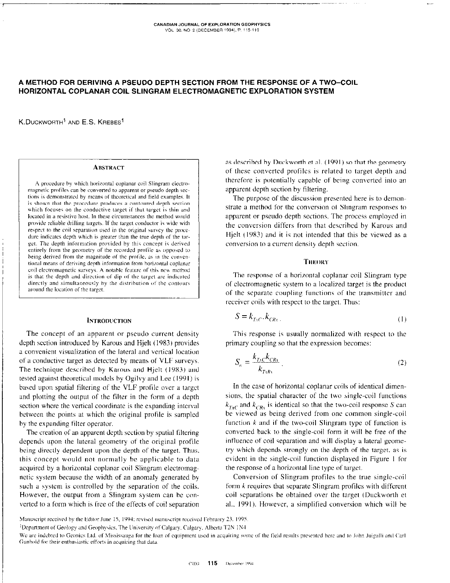# A METHOD FOR DERIVING A PSEUDO DEPTH SECTION FROM THE RESPONSE OF A TWO-COIL **HORIZONTAL COPLANAR COIL SLINGRAM ELECTROMAGNETIC EXPLORATION SYSTEM**

K.DUCKWORTH<sup>1</sup> AND E.S. KREBES<sup>1</sup>

#### **ABSTRACT**

A procedure by which horizontal coplanar coil Slingram electromagnetic profiles can be converted to apparent or pseudo depth sections is demonstrated by means of theoretical and field examples. It is shown that the procedure produces a contoured depth section which focuses on the conductive target if that target is thin and located in a resistive host. In these circumstances the method would provide reliable drilling targets. If the target conductor is wide with respect to the coil separation used in the original survey the procedure indicates depth which is greater than the true depth of the target. The depth information provided by this concept is derived entirely from the geometry of the recorded profile as opposed to being derived from the magnitude of the profile, as in the conventional means of deriving depth information from horizontal coplanar coil electromagnetic surveys. A notable feature of this new method is that the depth and direction of dip of the target are indicated directly and simultaneously by the distribution of the contours around the location of the target.

## **INTRODUCTION**

The concept of an apparent or pseudo current density depth section introduced by Karous and Hielt (1983) provides a convenient visualization of the lateral and vertical location of a conductive target as detected by means of VLF surveys. The technique described by Karous and Hielt (1983) and tested against theoretical models by Ogilvy and Lee (1991) is based upon spatial filtering of the VLF profile over a target and plotting the output of the filter in the form of a depth section where the vertical coordinate is the expanding interval between the points at which the original profile is sampled by the expanding filter operator.

The creation of an apparent depth section by spatial filtering depends upon the lateral geometry of the original profile being directly dependent upon the depth of the target. Thus, this concept would not normally be applicable to data acquired by a horizontal coplanar coil Slingram electromagnetic system because the width of an anomaly generated by such a system is controlled by the separation of the coils. However, the output from a Slingram system can be converted to a form which is free of the effects of coil separation

as described by Duckworth et al. (1991) so that the geometry of these converted profiles is related to target depth and therefore is potentially capable of being converted into an apparent depth section by filtering.

The purpose of the discussion presented here is to demonstrate a method for the conversion of Slingram responses to apparent or pseudo depth sections. The process employed in the conversion differs from that described by Karous and Hielt (1983) and it is not intended that this be viewed as a conversion to a current density depth section.

## **THEORY**

The response of a horizontal coplanar coil Slingram type of electromagnetic system to a localized target is the product of the separate coupling functions of the transmitter and receiver coils with respect to the target. Thus:

$$
S = k_{T_{\lambda}C} \cdot k_{CRx} \tag{1}
$$

This response is usually normalized with respect to the primary coupling so that the expression becomes:

$$
S_n = \frac{k_{T_x C} k_{C R_x}}{k_{T_x R_x}}.
$$
\n<sup>(2)</sup>

In the case of horizontal coplanar coils of identical dimensions, the spatial character of the two single-coil functions  $k_{TxC}$  and  $k_{CRx}$  is identical so that the two-coil response S can be viewed as being derived from one common single-coil function  $k$  and if the two-coil Slingram type of function is converted back to the single-coil form it will be free of the influence of coil separation and will display a lateral geometry which depends strongly on the depth of the target, as is evident in the single-coil function displayed in Figure 1 for the response of a horizontal line type of target.

Conversion of Slingram profiles to the true single-coil form  $k$  requires that separate Slingram profiles with different coil separations be obtained over the target (Duckworth et al., 1991). However, a simplified conversion which will be

Manuscript received by the Editor June 15, 1994; revised manuscript received February 23, 1995.

<sup>&</sup>lt;sup>1</sup>Department of Geology and Geophysics, The University of Calgary, Calgary, Alberta T2N 1N4

We are indebted to Geonics Ltd, of Mississauga for the loan of equipment used in acquiring some of the field results presented here and to John Juigalli and Carl Gunhold for their enthusiastic efforts in acquiring that data.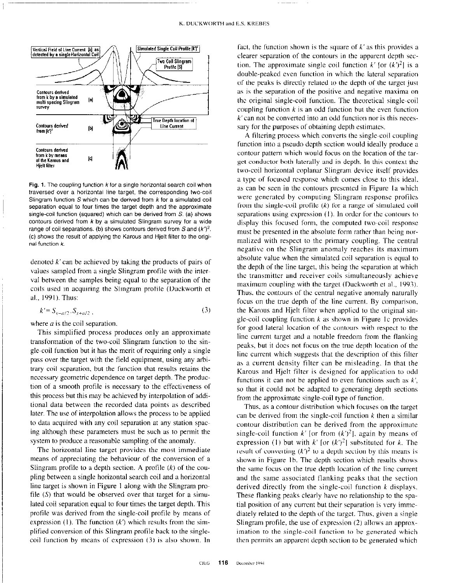-



Fig. 1. The coupling function  $k$  for a single horizontal search coil when traversed over a horizontal line target, the corresponding two-coil Slingram function  $S$  which can be derived from  $k$  for a simulated coil separation equal to four times the target depth and the approximate single-coil function (squared) which can be derived from  $S<sub>c</sub>$  (a) shows contours derived from k by a simulated Slingram survey for a wide range of coil separations. (b) shows contours derived from S and  $(k')^2$ . (c) shows the result of applying the Karous and Hjelt filter to the original function k.

denoted  $k'$  can be achieved by taking the products of pairs of values sampled from a single Slingram profile with the interval between the samples being equal to the separation of the coils used in acquiring the Slingram profile (Duckworth et al., 1991). Thus:

$$
k' = S_{x - a/2} \cdot S_{x + a/2} \tag{3}
$$

where  $a$  is the coil separation.

Tbis simplified process produces only an approximate transformation of the two-coil Slingram function to the single-coil function but it has the merit of requiring only a single pass over the target with the field equipment, using any arbitrary coil separation, but the function that results retains the necessary geometric dependence on target depth. The production of a smooth profile is necessary to the effectiveness of this process but this may be achieved by interpolation of additional data between the recorded data points as described later. The use of interpolation allows the process to be applied to data acquired with any coil separation at any station spacing although these parameters must be such as to permit the system to produce a reasonable sampling of the anomaly.

The horizontal line target provides the most immediate means of appreciating the behaviour of the conversion of a Slingram profile to a depth section. A profile  $(k)$  of the coupling between a single horizontal search coil and a horizontal line target is shown in Figure I along with the Slingram profile  $(S)$  that would be observed over that target for a simulated coil separation equal to four times the target depth. This profile was derived from the single-coil profile by means of expression (1). The function  $(k')$  which results from the simplified conversion of this Slingram profile back to the singlecoil function by means of expression (3) is also shown. In

fact, the function shown is the square of  $k'$  as this provides a clearer separation of the contours in the apparent depth section. The approximate single coil function  $k'$  [or  $(k')^2$ ] is a double-peaked even function in which the lateral separation of the peaks is directly related to the depth of the target just as is the separation of the positive and negative maxima on the original single-coil function. The theoretical single-coil coupling function  $k$  is an odd function but the even function k'can not be converted into an odd function nor is this necessary for the purposes of obtaining depth estimates.

A filtering process which converts the single-coil coupling function into a pseudo depth section would ideally produce a contour pattern which would focus on the location of the target conductor both laterally and in depth. In this context the two-coil horizontal coplanar Slingram device itself provides a type of focused response which comes close to this ideal. as can be seen in the contours presented in Figure la which were generated by computing Slingram response profiles from the single-coil profile  $(k)$  for a range of simulated coil separations using expression  $(1)$ . In order for the contours to display this focused form, the computed two-coil response must be presented in the absolute form rather than being normalired with respect to the primary coupling. The central negative on the Slingram anomaly reaches its maximum absolute value when the simulated coil separation is equal to the depth of the line target, this being the separation at which the transmitter and receiver coils simultaneously achieve maximum coupling with the target (Duckworth et al., 1993). Thus, the contours of the central negative anomaly naturally focus on the true depth of the line current. By comparison, the Karous and Hjelt filter when applied to the original single-coil coupling function  $k$  as shown in Figure 1c provides for good lateral location of the contours with respect to the line current target and a notable freedom from the flanking peaks, but it does not focus on the true depth location of the line current which suggests that the description of this filter as a current density filter can be misleading. In that the Karous and Hjelt filter is designed for application to odd functions it can not be applied to even functions such as  $k'$ , so that it could not be adapted to generating depth sections from the approximate single-coil type of function.

Thus, as a contour distribution which focuses on the target can be derived from the single-coil function  $k$  then a similar contour distribution can be derived from the approximate single-coil function k' [or from  $(k')^2$ ], again by means of expression (1) but with  $k'$  [or  $(k')^2$ ] substituted for k. The result of converting  $(k^2)$  to a depth section by this means is shown in Figure 1b. The depth section which results shows the same focus on the true depth location of the line current and the same associated flanking peaks that the section derived directly from the single-coil function k displays. These flanking peaks clearly have no relationship to the spatial position of any current but their separation is very immediately related to the depth of the target. Thus, given a single Slingram profile, the use of expression (2) allows an approximation to the single-coil function to be generated which then permits an apparent depth section to bc generated which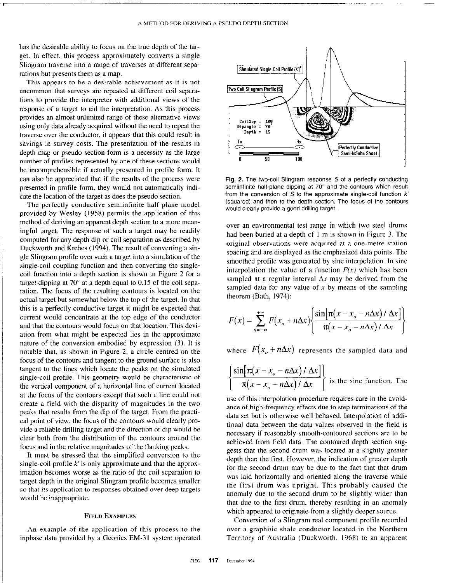has the desirable ability to focus on the true depth of the target. In effect, this process approximately converts a single Slingram traverse into a range of traverses at different separations but presents them as a map.

This appears to be a desirable achievement as it is not uncommon that surveys are repeated at different coil separations to provide the interpreter with additional views of the response of a target to aid the interpretation. As this process provides an almost unlimited range of these alternative views using only data already acquired without the need to repeat the traverse over the conductor, it appears that this could result in savings in survey costs. The presentation of the results in depth map or pseudo section form is a necessity as the large number of profiles represented by one of these sections would be incomprehensible if actually presented in profile form. It can also be appreciated that if the results of the process were presented in profile form, they would not automatically indicate the location of the target as does the pseudo section.

The perfectly conductive semiinfinite half-plane model provided by Wesley (1958) permits the application of this method of deriving an apparent depth section to a more meaningful target. The response of such a target may be readily computed for any depth dip or coil separation as described by Duckworth and Krebes (1994). The result of converting a single Slingram profile over such a target into a simulation of the single-coil coupling function and then converting the singlecoil function into a depth section is shown in Figure 2 for a target dipping at  $70^{\circ}$  at a depth equal to 0.15 of the coil separation. The focus of the resulting contours is located on the actual target but somewhat below the top of the target. In that this is a perfectly conductive target it might be expected that current would concentrate at the top edge of the conductor and that the contours would focus on that location. This deviation from what might be expected lies in the approximate nature of the conversion embodied by expression (3). It is notable that, as shown in Figure 2, a circle centred on the focus of the contours and tangent to the ground surface is also tangent to the lines which locate the peaks on the simulated single-coil profile. This geometry would be characteristic of the vertical component of a horizontal line of current located at the focus of the contours except that such a line could not create a field with the disparity of magnitudes in the two peaks that results from the dip of the target. From the practical point of view, the focus of the contours would clearly provide a reliable drilling target and the direction of dip would be clear both from the distribution of the contours around the focus and in the relative magnitudes of the flanking peaks.

It must be stressed that the simplified conversion to the single-coil profile  $k'$  is only approximate and that the approximation becomes worse as the ratio of the coil separation to target depth in the original Slingram profile becomes smaller so that its application to responses obtained over deep targets would be inappropriate.

# FIELD EXAMPLES

An example of the application of this process to the inphase data provided by a Geonics EM-31 system operated



Fig. 2. The two-coil Slingram response S of a perfectly conducting semiinfinite half-plane dipping at 70° and the contours which result from the conversion of  $S$  to the approximate single-coil function  $k'$ (squared) and then to the depth section. The focus of the contours would clearly provide a good drilling target.

over an environmental test range in which two steel drums had been buried at a depth of I m is shown in Figure 3. The original observations were acquired at a one-metre station spacing and are displayed as the emphasized data points. The smoothed profile was generated by sine interpolation. In sine interpolation the value of a function  $F(x)$  which has been sampled at a regular interval  $\Delta x$  may be derived from the sampled data for any value of  $x$  by means of the sampling theorem (Bath, 1974):

$$
F(x) = \sum_{n=-\infty}^{+\infty} F(x_0 + n\Delta x) \left\{ \frac{\sin[\pi(x - x_0 - n\Delta x) / \Delta x]}{\pi(x - x_0 - n\Delta x) / \Delta x} \right\}
$$

where  $F(x_0 + n\Delta x)$  represents the sampled data and

$$
\left\{\frac{\sin[\pi(x-x_{o}-n\Delta x)/\Delta x]}{\pi(x-x_{o}-n\Delta x)/\Delta x}\right\}
$$
 is the sinc function. The

use of this interpolation procedure requires care in the avoidance of high-frequency effects due to step terminations of the data set but is otherwise well behaved. Interpolation of additional data between the data values observed in the field is necessary if reasonably smooth-contoured sections are to be achieved from field data. The contoured depth section suggests that the second drum was located at a slightly greater depth than the first. However. the indication of greater depth for the second drum may be due to the fact that that drum was laid horizontally and oriented along the traverse while the first drum was upright. This probably caused the anomaly due to the second drum to be slightly wider than that due to the first drum, thereby resulting in an anomaly which appeared to originate from a slightly deeper source.

Conversion of a Slingram real component profile recorded over a graphitic shale conductor located in the Northern Territory of Australia (Duckworth, 1968) to an apparent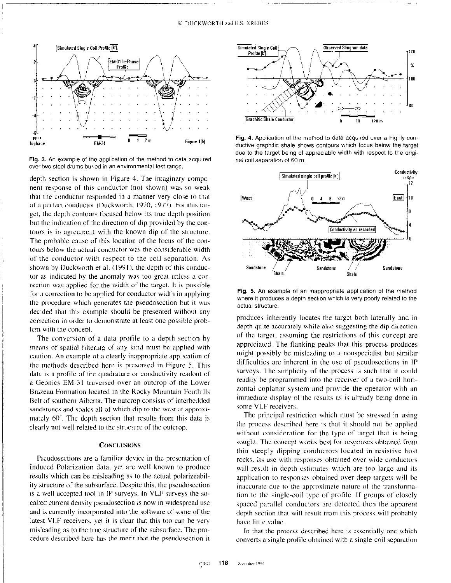

Fig. 3. An example of the application of the method to data acquired over two steel drums buried in an environmental test range.

depth section is shown in Figure 4. The imaginary component response of this conductor (not shown) was so weak that the conductor responded in a manner very close to that of a perfect conductor (Duckworth, 1970, 1977). For this target, the depth contours focused below its true depth position but the indication of the direction of dip provided hy the contours is in agreement with the known dip of the structure. The probable cause of this location of the focus of the contours below the actual conductor was the considerable width of the conductor with respect to the coil separation. As shown by Duckworth et al.  $(1991)$ , the depth of this conductor as indicated by the anomaly was too great unless a correction was applied for the width of the target. It is possible for a correction to be applied for conductor width in applying the procedure which generates the pseudosection hut it was decided that this example should be presented without any correction in order to demonstrate at least one possible problcm with the concept.

The conversion of a data profile to a depth section by means of spatial filtering of any kind must bc applied with caution. An example of a clearly inappropriate application of the methods described here is presented in Figure 5. This data is a profile of the quadrature or conductivity readout of a Geonics EM-31 traversed over an outcrop of the Lower Brazeau Formation located in the Rocky Mountain Foothills Belt of southern Alberta. The outcrop consists of interbedded sandstones and shales all of which dip to the west at approximately  $60^{\degree}$ . The depth section that results from this data is clearly not well related to the structure of the outcrop.

# **CONCLUSIONS**

Pseudosections are a familiar device in the presentation of Induced Polarization data. yet are well known to produce results which can be misleading as to the actual polarizeability structure of the subsurface. Despite this, the pseudoscction is a well accepted tool in IP surveys. In VLF surveys the SOcalled current density pseudosection is now in widespread use and is currently incorporated into the software of some of the latest VLF receivers. yet it is clear that this too can be very misleading as to the true structure of the subsurface. The procedure described here has the merit that the pseudosection it



Fig. 4. Application of the method to data acquired over a highly conductive graphitic shale shows contours which focus below the target due to the target being of appreciable width with respect to the original coil separation of 60 m.



Fig. 5. An example of an inappropriate application of the method where it produces a depth section which is very poorly related to the actual structure.

produces inherently locates the target both laterally and in depth quite accurately while also suggesting the dip direction of the target, assuming the restrictions of this concept are appreciated. The flanking peaks that this process produces might possibly be misleading to a nonspecialist but similar difficulties are inherent in the use of pseudosections in IP surveys. The simplicity of the process is such that it could readily be programmed into the rccciver of a two-coil horizontal coplanar system and provide the operator with an immediate display of the results as is already being done in some VLF receivers.

The principal restriction which must be stressed in using lhe process descrihcd here is that it should not bc applied without consideration for the type of target that is being sought. The concept works best for responses obtained from thin steeply dipping conductors located in resistive host rocks. Its use with responses obtained over wide conductors will result in depth estimates which are too large and its application to responses obtained over deep targets will he inaccurate due to the approximate nature of the transformation to the single-coil type 01 profile. If groups of closely spaced parallel conductors are detected then the apparent depth section that will result from this process will probably have little value.

In that the process described here is essentially one which converts a single profile obtained with a single-coil separation